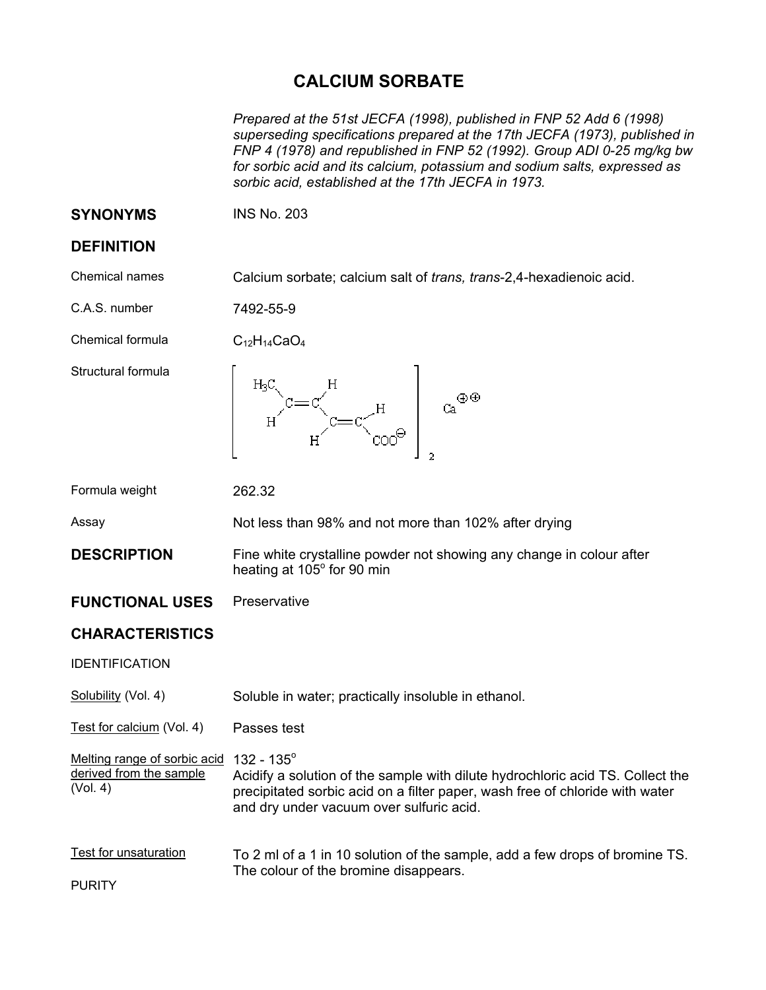## **CALCIUM SORBATE**

*Prepared at the 51st JECFA (1998), published in FNP 52 Add 6 (1998) superseding specifications prepared at the 17th JECFA (1973), published in FNP 4 (1978) and republished in FNP 52 (1992). Group ADI 0-25 mg/kg bw for sorbic acid and its calcium, potassium and sodium salts, expressed as sorbic acid, established at the 17th JECFA in 1973.* 

**SYNONYMS** INS No. 203

## **DEFINITION**

Chemical names Calcium sorbate; calcium salt of *trans, trans*-2,4-hexadienoic acid.

C.A.S. number 7492-55-9

Chemical formula  $C_{12}H_{14}CaO_4$ 

Structural formula



Formula weight 262.32

Assay Mot less than 98% and not more than 102% after drying

**DESCRIPTION** Fine white crystalline powder not showing any change in colour after heating at 105° for 90 min

## **FUNCTIONAL USES** Preservative

## **CHARACTERISTICS**

IDENTIFICATION

Solubility (Vol. 4) Soluble in water; practically insoluble in ethanol.

Test for calcium (Vol. 4) Passes test

Melting range of sorbic acid 132 - 135°

derived from the sample (Vol. 4) Acidify a solution of the sample with dilute hydrochloric acid TS. Collect the precipitated sorbic acid on a filter paper, wash free of chloride with water and dry under vacuum over sulfuric acid.

| Test for unsaturation | To 2 ml of a 1 in 10 solution of the sample, add a few drops of bromine TS. |
|-----------------------|-----------------------------------------------------------------------------|
|                       | The colour of the bromine disappears.                                       |
| <b>PURITY</b>         |                                                                             |